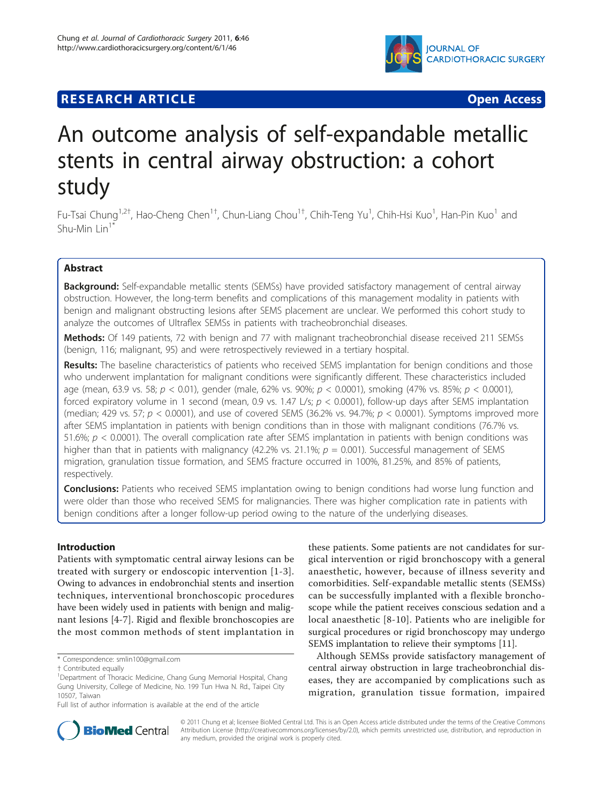

# **RESEARCH ARTICLE Example 2018 CONSIDERING CONSIDERING CONSIDERING CONSIDERING CONSIDERING CONSIDERING CONSIDERING CONSIDERING CONSIDERING CONSIDERING CONSIDERING CONSIDERING CONSIDERING CONSIDERING CONSIDERING CONSIDE**

# An outcome analysis of self-expandable metallic stents in central airway obstruction: a cohort study

Fu-Tsai Chung<sup>1,2†</sup>, Hao-Cheng Chen<sup>1†</sup>, Chun-Liang Chou<sup>1†</sup>, Chih-Teng Yu<sup>1</sup>, Chih-Hsi Kuo<sup>1</sup>, Han-Pin Kuo<sup>1</sup> and Shu-Min  $Lin<sup>1*</sup>$ 

# Abstract

**Background:** Self-expandable metallic stents (SEMSs) have provided satisfactory management of central airway obstruction. However, the long-term benefits and complications of this management modality in patients with benign and malignant obstructing lesions after SEMS placement are unclear. We performed this cohort study to analyze the outcomes of Ultraflex SEMSs in patients with tracheobronchial diseases.

Methods: Of 149 patients, 72 with benign and 77 with malignant tracheobronchial disease received 211 SEMSs (benign, 116; malignant, 95) and were retrospectively reviewed in a tertiary hospital.

Results: The baseline characteristics of patients who received SEMS implantation for benign conditions and those who underwent implantation for malignant conditions were significantly different. These characteristics included age (mean, 63.9 vs. 58;  $p < 0.01$ ), gender (male, 62% vs. 90%;  $p < 0.0001$ ), smoking (47% vs. 85%;  $p < 0.0001$ ), forced expiratory volume in 1 second (mean, 0.9 vs. 1.47 L/s;  $p < 0.0001$ ), follow-up days after SEMS implantation (median; 429 vs. 57;  $p < 0.0001$ ), and use of covered SEMS (36.2% vs. 94.7%;  $p < 0.0001$ ). Symptoms improved more after SEMS implantation in patients with benign conditions than in those with malignant conditions (76.7% vs. 51.6%;  $p < 0.0001$ ). The overall complication rate after SEMS implantation in patients with benign conditions was higher than that in patients with malignancy (42.2% vs. 21.1%;  $p = 0.001$ ). Successful management of SEMS migration, granulation tissue formation, and SEMS fracture occurred in 100%, 81.25%, and 85% of patients, respectively.

**Conclusions:** Patients who received SEMS implantation owing to benign conditions had worse lung function and were older than those who received SEMS for malignancies. There was higher complication rate in patients with benign conditions after a longer follow-up period owing to the nature of the underlying diseases.

# Introduction

Patients with symptomatic central airway lesions can be treated with surgery or endoscopic intervention [[1-3\]](#page-6-0). Owing to advances in endobronchial stents and insertion techniques, interventional bronchoscopic procedures have been widely used in patients with benign and malignant lesions [[4-7](#page-6-0)]. Rigid and flexible bronchoscopies are the most common methods of stent implantation in

these patients. Some patients are not candidates for surgical intervention or rigid bronchoscopy with a general anaesthetic, however, because of illness severity and comorbidities. Self-expandable metallic stents (SEMSs) can be successfully implanted with a flexible bronchoscope while the patient receives conscious sedation and a local anaesthetic [[8](#page-6-0)-[10](#page-6-0)]. Patients who are ineligible for surgical procedures or rigid bronchoscopy may undergo SEMS implantation to relieve their symptoms [[11\]](#page-6-0).

Although SEMSs provide satisfactory management of central airway obstruction in large tracheobronchial diseases, they are accompanied by complications such as migration, granulation tissue formation, impaired



© 2011 Chung et al; licensee BioMed Central Ltd. This is an Open Access article distributed under the terms of the Creative Commons Attribution License [\(http://creativecommons.org/licenses/by/2.0](http://creativecommons.org/licenses/by/2.0)), which permits unrestricted use, distribution, and reproduction in any medium, provided the original work is properly cited.

<sup>\*</sup> Correspondence: [smlin100@gmail.com](mailto:smlin100@gmail.com)

<sup>†</sup> Contributed equally <sup>1</sup>

<sup>&</sup>lt;sup>1</sup>Department of Thoracic Medicine, Chang Gung Memorial Hospital, Chang Gung University, College of Medicine, No. 199 Tun Hwa N. Rd., Taipei City 10507, Taiwan

Full list of author information is available at the end of the article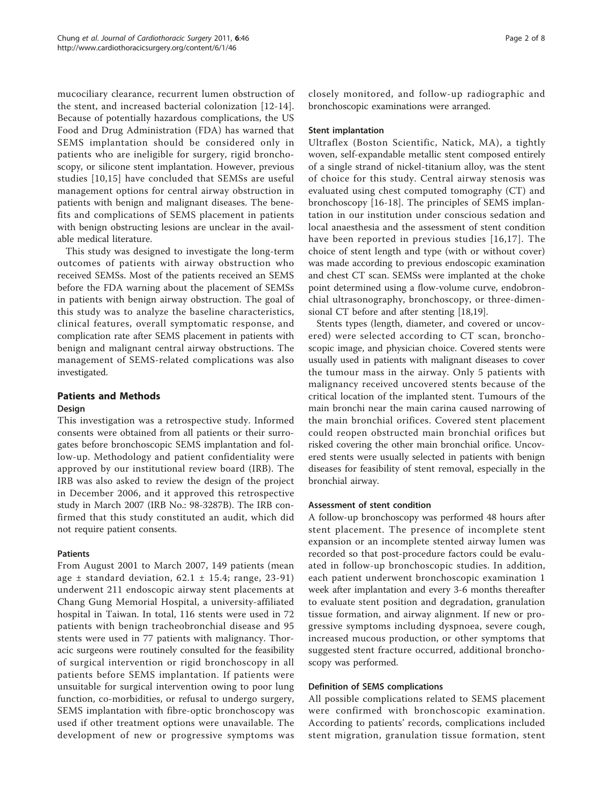mucociliary clearance, recurrent lumen obstruction of the stent, and increased bacterial colonization [[12](#page-6-0)-[14](#page-6-0)]. Because of potentially hazardous complications, the US Food and Drug Administration (FDA) has warned that SEMS implantation should be considered only in patients who are ineligible for surgery, rigid bronchoscopy, or silicone stent implantation. However, previous studies [[10,15\]](#page-6-0) have concluded that SEMSs are useful management options for central airway obstruction in patients with benign and malignant diseases. The benefits and complications of SEMS placement in patients with benign obstructing lesions are unclear in the available medical literature.

This study was designed to investigate the long-term outcomes of patients with airway obstruction who received SEMSs. Most of the patients received an SEMS before the FDA warning about the placement of SEMSs in patients with benign airway obstruction. The goal of this study was to analyze the baseline characteristics, clinical features, overall symptomatic response, and complication rate after SEMS placement in patients with benign and malignant central airway obstructions. The management of SEMS-related complications was also investigated.

# Patients and Methods Design

This investigation was a retrospective study. Informed consents were obtained from all patients or their surrogates before bronchoscopic SEMS implantation and follow-up. Methodology and patient confidentiality were approved by our institutional review board (IRB). The IRB was also asked to review the design of the project in December 2006, and it approved this retrospective study in March 2007 (IRB No.: 98-3287B). The IRB confirmed that this study constituted an audit, which did not require patient consents.

# Patients

From August 2001 to March 2007, 149 patients (mean age  $\pm$  standard deviation, 62.1  $\pm$  15.4; range, 23-91) underwent 211 endoscopic airway stent placements at Chang Gung Memorial Hospital, a university-affiliated hospital in Taiwan. In total, 116 stents were used in 72 patients with benign tracheobronchial disease and 95 stents were used in 77 patients with malignancy. Thoracic surgeons were routinely consulted for the feasibility of surgical intervention or rigid bronchoscopy in all patients before SEMS implantation. If patients were unsuitable for surgical intervention owing to poor lung function, co-morbidities, or refusal to undergo surgery, SEMS implantation with fibre-optic bronchoscopy was used if other treatment options were unavailable. The development of new or progressive symptoms was closely monitored, and follow-up radiographic and bronchoscopic examinations were arranged.

# Stent implantation

Ultraflex (Boston Scientific, Natick, MA), a tightly woven, self-expandable metallic stent composed entirely of a single strand of nickel-titanium alloy, was the stent of choice for this study. Central airway stenosis was evaluated using chest computed tomography (CT) and bronchoscopy [[16-18](#page-6-0)]. The principles of SEMS implantation in our institution under conscious sedation and local anaesthesia and the assessment of stent condition have been reported in previous studies [[16](#page-6-0),[17\]](#page-6-0). The choice of stent length and type (with or without cover) was made according to previous endoscopic examination and chest CT scan. SEMSs were implanted at the choke point determined using a flow-volume curve, endobronchial ultrasonography, bronchoscopy, or three-dimensional CT before and after stenting [\[18,19](#page-6-0)].

Stents types (length, diameter, and covered or uncovered) were selected according to CT scan, bronchoscopic image, and physician choice. Covered stents were usually used in patients with malignant diseases to cover the tumour mass in the airway. Only 5 patients with malignancy received uncovered stents because of the critical location of the implanted stent. Tumours of the main bronchi near the main carina caused narrowing of the main bronchial orifices. Covered stent placement could reopen obstructed main bronchial orifices but risked covering the other main bronchial orifice. Uncovered stents were usually selected in patients with benign diseases for feasibility of stent removal, especially in the bronchial airway.

# Assessment of stent condition

A follow-up bronchoscopy was performed 48 hours after stent placement. The presence of incomplete stent expansion or an incomplete stented airway lumen was recorded so that post-procedure factors could be evaluated in follow-up bronchoscopic studies. In addition, each patient underwent bronchoscopic examination 1 week after implantation and every 3-6 months thereafter to evaluate stent position and degradation, granulation tissue formation, and airway alignment. If new or progressive symptoms including dyspnoea, severe cough, increased mucous production, or other symptoms that suggested stent fracture occurred, additional bronchoscopy was performed.

# Definition of SEMS complications

All possible complications related to SEMS placement were confirmed with bronchoscopic examination. According to patients' records, complications included stent migration, granulation tissue formation, stent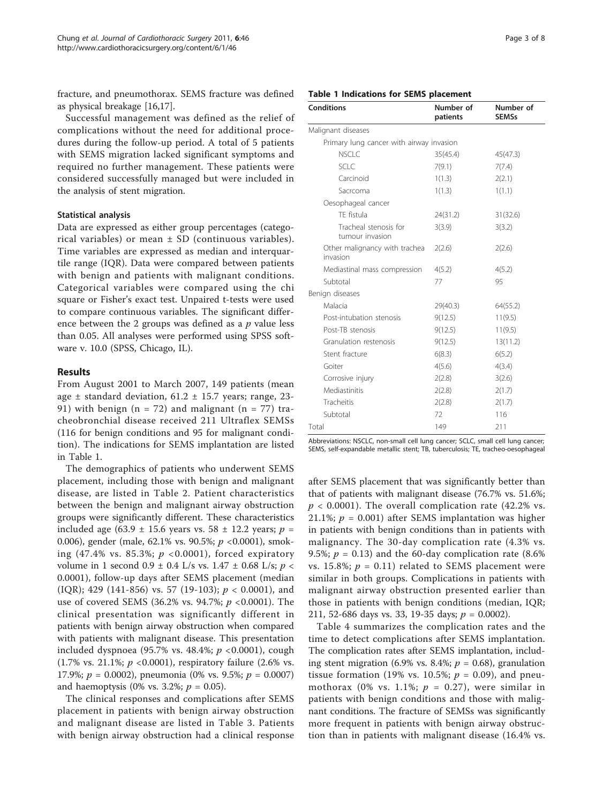fracture, and pneumothorax. SEMS fracture was defined as physical breakage [[16,17\]](#page-6-0).

Successful management was defined as the relief of complications without the need for additional procedures during the follow-up period. A total of 5 patients with SEMS migration lacked significant symptoms and required no further management. These patients were considered successfully managed but were included in the analysis of stent migration.

#### Statistical analysis

Data are expressed as either group percentages (categorical variables) or mean  $\pm$  SD (continuous variables). Time variables are expressed as median and interquartile range (IQR). Data were compared between patients with benign and patients with malignant conditions. Categorical variables were compared using the chi square or Fisher's exact test. Unpaired t-tests were used to compare continuous variables. The significant difference between the 2 groups was defined as a  $p$  value less than 0.05. All analyses were performed using SPSS software v. 10.0 (SPSS, Chicago, IL).

#### Results

From August 2001 to March 2007, 149 patients (mean age  $\pm$  standard deviation, 61.2  $\pm$  15.7 years; range, 23-91) with benign ( $n = 72$ ) and malignant ( $n = 77$ ) tracheobronchial disease received 211 Ultraflex SEMSs (116 for benign conditions and 95 for malignant condition). The indications for SEMS implantation are listed in Table 1.

The demographics of patients who underwent SEMS placement, including those with benign and malignant disease, are listed in Table [2.](#page-3-0) Patient characteristics between the benign and malignant airway obstruction groups were significantly different. These characteristics included age (63.9  $\pm$  15.6 years vs. 58  $\pm$  12.2 years;  $p =$ 0.006), gender (male, 62.1% vs. 90.5%; p <0.0001), smoking (47.4% vs. 85.3%;  $p \le 0.0001$ ), forced expiratory volume in 1 second 0.9  $\pm$  0.4 L/s vs. 1.47  $\pm$  0.68 L/s; *p* < 0.0001), follow-up days after SEMS placement (median (IQR); 429 (141-856) vs. 57 (19-103);  $p < 0.0001$ ), and use of covered SEMS (36.2% vs. 94.7%;  $p < 0.0001$ ). The clinical presentation was significantly different in patients with benign airway obstruction when compared with patients with malignant disease. This presentation included dyspnoea (95.7% vs. 48.4%;  $p < 0.0001$ ), cough  $(1.7\% \text{ vs. } 21.1\%; p < 0.0001)$ , respiratory failure  $(2.6\% \text{ vs. } 21.1\%; p < 0.0001)$ 17.9%;  $p = 0.0002$ ), pneumonia (0% vs. 9.5%;  $p = 0.0007$ ) and haemoptysis (0% vs. 3.2%;  $p = 0.05$ ).

The clinical responses and complications after SEMS placement in patients with benign airway obstruction and malignant disease are listed in Table [3.](#page-3-0) Patients with benign airway obstruction had a clinical response

#### Table 1 Indications for SEMS placement

| <b>Conditions</b>                         | Number of<br>patients | Number of<br><b>SEMSs</b> |
|-------------------------------------------|-----------------------|---------------------------|
| Malignant diseases                        |                       |                           |
| Primary lung cancer with airway invasion  |                       |                           |
| NSCLC.                                    | 35(45.4)              | 45(47.3)                  |
| SCLC.                                     | 7(9.1)                | 7(7.4)                    |
| Carcinoid                                 | 1(1.3)                | 2(2.1)                    |
| Sacrcoma                                  | 1(1.3)                | 1(1.1)                    |
| Oesophageal cancer                        |                       |                           |
| TF fistula                                | 24(31.2)              | 31(32.6)                  |
| Tracheal stenosis for<br>tumour invasion  | 3(3.9)                | 3(3.2)                    |
| Other malignancy with trachea<br>invasion | 2(2.6)                | 2(2.6)                    |
| Mediastinal mass compression              | 4(5.2)                | 4(5.2)                    |
| Subtotal                                  | 77                    | 95                        |
| Benign diseases                           |                       |                           |
| Malacia                                   | 29(40.3)              | 64(55.2)                  |
| Post-intubation stenosis                  | 9(12.5)               | 11(9.5)                   |
| Post-TB stenosis                          | 9(12.5)               | 11(9.5)                   |
| Granulation restenosis                    | 9(12.5)               | 13(11.2)                  |
| Stent fracture                            | 6(8.3)                | 6(5.2)                    |
| Goiter                                    | 4(5.6)                | 4(3.4)                    |
| Corrosive injury                          | 2(2.8)                | 3(2.6)                    |
| Mediastinitis                             | 2(2.8)                | 2(1.7)                    |
| Tracheitis                                | 2(2.8)                | 2(1.7)                    |
| Subtotal                                  | 72                    | 116                       |
| Total                                     | 149                   | 211                       |

Abbreviations: NSCLC, non-small cell lung cancer; SCLC, small cell lung cancer; SEMS, self-expandable metallic stent; TB, tuberculosis; TE, tracheo-oesophageal

after SEMS placement that was significantly better than that of patients with malignant disease (76.7% vs. 51.6%;  $p < 0.0001$ ). The overall complication rate (42.2% vs. 21.1%;  $p = 0.001$ ) after SEMS implantation was higher in patients with benign conditions than in patients with malignancy. The 30-day complication rate (4.3% vs. 9.5%;  $p = 0.13$ ) and the 60-day complication rate (8.6%) vs. 15.8%;  $p = 0.11$ ) related to SEMS placement were similar in both groups. Complications in patients with malignant airway obstruction presented earlier than those in patients with benign conditions (median, IQR; 211, 52-686 days vs. 33, 19-35 days;  $p = 0.0002$ ).

Table [4](#page-4-0) summarizes the complication rates and the time to detect complications after SEMS implantation. The complication rates after SEMS implantation, including stent migration (6.9% vs. 8.4%;  $p = 0.68$ ), granulation tissue formation (19% vs. 10.5%;  $p = 0.09$ ), and pneumothorax (0% vs. 1.1%;  $p = 0.27$ ), were similar in patients with benign conditions and those with malignant conditions. The fracture of SEMSs was significantly more frequent in patients with benign airway obstruction than in patients with malignant disease (16.4% vs.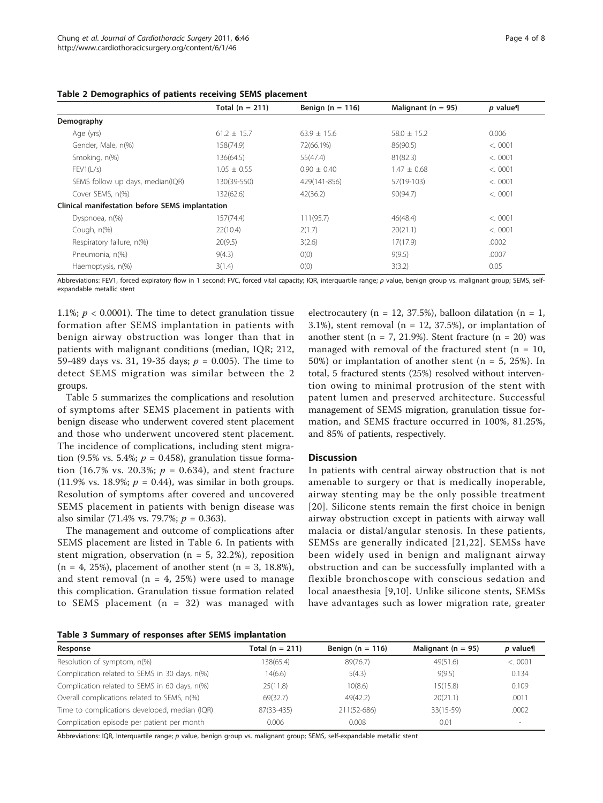| Total ( $n = 211$ ) | Benign ( $n = 116$ )                            | Malignant ( $n = 95$ ) | p value¶ |
|---------------------|-------------------------------------------------|------------------------|----------|
|                     |                                                 |                        |          |
| $61.2 \pm 15.7$     | $63.9 + 15.6$                                   | $58.0 \pm 15.2$        | 0.006    |
| 158(74.9)           | 72(66.1%)                                       | 86(90.5)               | < 0001   |
| 136(64.5)           | 55(47.4)                                        | 81(82.3)               | <.0001   |
| $1.05 \pm 0.55$     | $0.90 \pm 0.40$                                 | $1.47 \pm 0.68$        | <.0001   |
| 130(39-550)         | 429(141-856)                                    | 57(19-103)             | <.0001   |
| 132(62.6)           | 42(36.2)                                        | 90(94.7)               | < 0001   |
|                     |                                                 |                        |          |
| 157(74.4)           | 111(95.7)                                       | 46(48.4)               | <.0001   |
| 22(10.4)            | 2(1.7)                                          | 20(21.1)               | <.0001   |
| 20(9.5)             | 3(2.6)                                          | 17(17.9)               | .0002    |
| 9(4.3)              | O(0)                                            | 9(9.5)                 | .0007    |
| 3(1.4)              | O(0)                                            | 3(3.2)                 | 0.05     |
|                     | Clinical manifestation before SEMS implantation |                        |          |

<span id="page-3-0"></span>Table 2 Demographics of patients receiving SEMS placement

Abbreviations: FEV1, forced expiratory flow in 1 second; FVC, forced vital capacity; IQR, interquartile range; p value, benign group vs. malignant group; SEMS, selfexpandable metallic stent

1.1%;  $p < 0.0001$ ). The time to detect granulation tissue formation after SEMS implantation in patients with benign airway obstruction was longer than that in patients with malignant conditions (median, IQR; 212, 59-489 days vs. 31, 19-35 days;  $p = 0.005$ ). The time to detect SEMS migration was similar between the 2 groups.

Table [5](#page-4-0) summarizes the complications and resolution of symptoms after SEMS placement in patients with benign disease who underwent covered stent placement and those who underwent uncovered stent placement. The incidence of complications, including stent migration (9.5% vs. 5.4%;  $p = 0.458$ ), granulation tissue formation (16.7% vs. 20.3%;  $p = 0.634$ ), and stent fracture (11.9% vs. 18.9%;  $p = 0.44$ ), was similar in both groups. Resolution of symptoms after covered and uncovered SEMS placement in patients with benign disease was also similar (71.4% vs. 79.7%;  $p = 0.363$ ).

The management and outcome of complications after SEMS placement are listed in Table [6.](#page-5-0) In patients with stent migration, observation ( $n = 5$ , 32.2%), reposition  $(n = 4, 25\%)$ , placement of another stent  $(n = 3, 18.8\%)$ , and stent removal ( $n = 4$ , 25%) were used to manage this complication. Granulation tissue formation related to SEMS placement  $(n = 32)$  was managed with

electrocautery ( $n = 12, 37.5\%$ ), balloon dilatation ( $n = 1$ , 3.1%), stent removal ( $n = 12, 37.5%$ ), or implantation of another stent (n = 7, 21.9%). Stent fracture (n = 20) was managed with removal of the fractured stent  $(n = 10,$ 50%) or implantation of another stent ( $n = 5$ , 25%). In total, 5 fractured stents (25%) resolved without intervention owing to minimal protrusion of the stent with patent lumen and preserved architecture. Successful management of SEMS migration, granulation tissue formation, and SEMS fracture occurred in 100%, 81.25%, and 85% of patients, respectively.

#### **Discussion**

In patients with central airway obstruction that is not amenable to surgery or that is medically inoperable, airway stenting may be the only possible treatment [[20](#page-6-0)]. Silicone stents remain the first choice in benign airway obstruction except in patients with airway wall malacia or distal/angular stenosis. In these patients, SEMSs are generally indicated [[21,22](#page-7-0)]. SEMSs have been widely used in benign and malignant airway obstruction and can be successfully implanted with a flexible bronchoscope with conscious sedation and local anaesthesia [[9,10](#page-6-0)]. Unlike silicone stents, SEMSs have advantages such as lower migration rate, greater

Table 3 Summary of responses after SEMS implantation

| Response                                      | Total $(n = 211)$ | Benign ( $n = 116$ ) | Malignant ( $n = 95$ ) | p value¶ |
|-----------------------------------------------|-------------------|----------------------|------------------------|----------|
| Resolution of symptom, n(%)                   | 38(65.4)          | 89(76.7)             | 49(51.6)               | <.0001   |
| Complication related to SEMS in 30 days, n(%) | 14(6.6)           | 5(4.3)               | 9(9.5)                 | 0.134    |
| Complication related to SEMS in 60 days, n(%) | 25(11.8)          | 10(8.6)              | 15(15.8)               | 0.109    |
| Overall complications related to SEMS, n(%)   | 69(32.7)          | 49(42.2)             | 20(21.1)               | .0011    |
| Time to complications developed, median (IQR) | 87(33-435)        | 211(52-686)          | 33(15-59)              | .0002    |
| Complication episode per patient per month    | 0.006             | 0.008                | 0.01                   |          |

Abbreviations: IQR, Interquartile range; p value, benign group vs. malignant group; SEMS, self-expandable metallic stent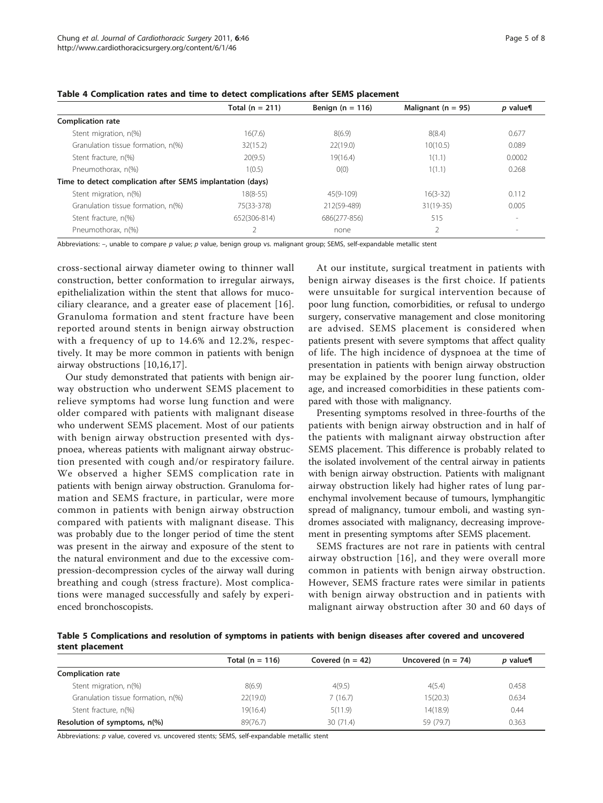|                                                            | Total $(n = 211)$ | Benign ( $n = 116$ ) | Malignant ( $n = 95$ ) | p value¶                 |
|------------------------------------------------------------|-------------------|----------------------|------------------------|--------------------------|
| <b>Complication rate</b>                                   |                   |                      |                        |                          |
| Stent migration, n(%)                                      | 16(7.6)           | 8(6.9)               | 8(8.4)                 | 0.677                    |
| Granulation tissue formation, n(%)                         | 32(15.2)          | 22(19.0)             | 10(10.5)               | 0.089                    |
| Stent fracture, n(%)                                       | 20(9.5)           | 19(16.4)             | 1(1.1)                 | 0.0002                   |
| Pneumothorax, n(%)                                         | 1(0.5)            | O(0)                 | 1(1.1)                 | 0.268                    |
| Time to detect complication after SEMS implantation (days) |                   |                      |                        |                          |
| Stent migration, n(%)                                      | 18(8-55)          | 45(9-109)            | $16(3-32)$             | 0.112                    |
| Granulation tissue formation, n(%)                         | 75(33-378)        | 212(59-489)          | $31(19-35)$            | 0.005                    |
| Stent fracture, n(%)                                       | 652(306-814)      | 686(277-856)         | 515                    | $\overline{\phantom{a}}$ |
| Pneumothorax, n(%)                                         |                   | none                 |                        | -                        |

<span id="page-4-0"></span>Table 4 Complication rates and time to detect complications after SEMS placement

Abbreviations:  $-$ , unable to compare p value; p value, benign group vs. malignant group; SEMS, self-expandable metallic stent

cross-sectional airway diameter owing to thinner wall construction, better conformation to irregular airways, epithelialization within the stent that allows for mucociliary clearance, and a greater ease of placement [[16\]](#page-6-0). Granuloma formation and stent fracture have been reported around stents in benign airway obstruction with a frequency of up to 14.6% and 12.2%, respectively. It may be more common in patients with benign airway obstructions [[10,16,17](#page-6-0)].

Our study demonstrated that patients with benign airway obstruction who underwent SEMS placement to relieve symptoms had worse lung function and were older compared with patients with malignant disease who underwent SEMS placement. Most of our patients with benign airway obstruction presented with dyspnoea, whereas patients with malignant airway obstruction presented with cough and/or respiratory failure. We observed a higher SEMS complication rate in patients with benign airway obstruction. Granuloma formation and SEMS fracture, in particular, were more common in patients with benign airway obstruction compared with patients with malignant disease. This was probably due to the longer period of time the stent was present in the airway and exposure of the stent to the natural environment and due to the excessive compression-decompression cycles of the airway wall during breathing and cough (stress fracture). Most complications were managed successfully and safely by experienced bronchoscopists.

At our institute, surgical treatment in patients with benign airway diseases is the first choice. If patients were unsuitable for surgical intervention because of poor lung function, comorbidities, or refusal to undergo surgery, conservative management and close monitoring are advised. SEMS placement is considered when patients present with severe symptoms that affect quality of life. The high incidence of dyspnoea at the time of presentation in patients with benign airway obstruction may be explained by the poorer lung function, older age, and increased comorbidities in these patients compared with those with malignancy.

Presenting symptoms resolved in three-fourths of the patients with benign airway obstruction and in half of the patients with malignant airway obstruction after SEMS placement. This difference is probably related to the isolated involvement of the central airway in patients with benign airway obstruction. Patients with malignant airway obstruction likely had higher rates of lung parenchymal involvement because of tumours, lymphangitic spread of malignancy, tumour emboli, and wasting syndromes associated with malignancy, decreasing improvement in presenting symptoms after SEMS placement.

SEMS fractures are not rare in patients with central airway obstruction [[16\]](#page-6-0), and they were overall more common in patients with benign airway obstruction. However, SEMS fracture rates were similar in patients with benign airway obstruction and in patients with malignant airway obstruction after 30 and 60 days of

Table 5 Complications and resolution of symptoms in patients with benign diseases after covered and uncovered stent placement

|                                    | Total ( $n = 116$ ) | Covered $(n = 42)$ | Uncovered $(n = 74)$ | p value¶ |
|------------------------------------|---------------------|--------------------|----------------------|----------|
| <b>Complication rate</b>           |                     |                    |                      |          |
| Stent migration, n(%)              | 8(6.9)              | 4(9.5)             | 4(5.4)               | 0.458    |
| Granulation tissue formation, n(%) | 22(19.0)            | 7(16.7)            | 15(20.3)             | 0.634    |
| Stent fracture, n(%)               | 19(16.4)            | 5(11.9)            | 14(18.9)             | 0.44     |
| Resolution of symptoms, n(%)       | 89(76.7)            | 30(71.4)           | 59 (79.7)            | 0.363    |

Abbreviations: p value, covered vs. uncovered stents; SEMS, self-expandable metallic stent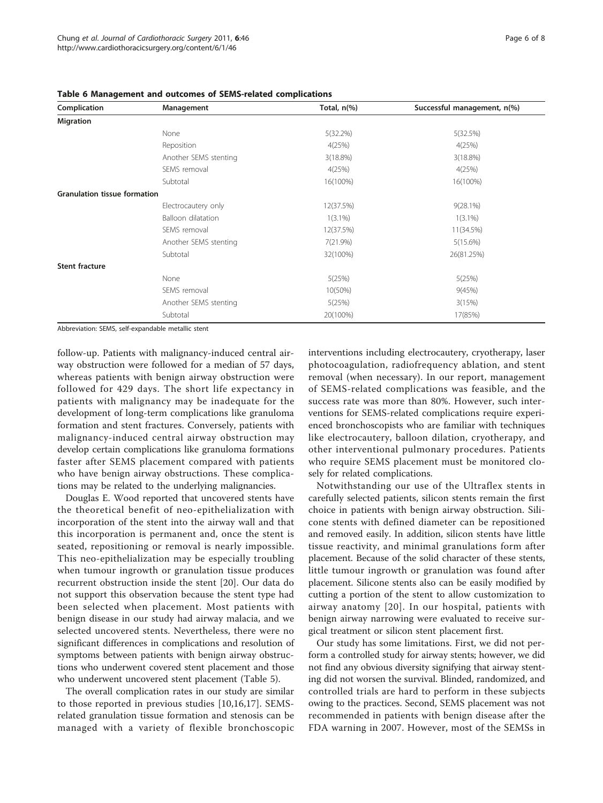| Complication                        | Management            | Total, n(%) | Successful management, n(%) |
|-------------------------------------|-----------------------|-------------|-----------------------------|
| <b>Migration</b>                    |                       |             |                             |
|                                     | None                  | 5(32.2%)    | 5(32.5%)                    |
|                                     | Reposition            | 4(25%)      | 4(25%)                      |
|                                     | Another SEMS stenting | 3(18.8%)    | 3(18.8%)                    |
|                                     | SEMS removal          | 4(25%)      | 4(25%)                      |
|                                     | Subtotal              | 16(100%)    | 16(100%)                    |
| <b>Granulation tissue formation</b> |                       |             |                             |
|                                     | Electrocautery only   | 12(37.5%)   | $9(28.1\%)$                 |
|                                     | Balloon dilatation    | $1(3.1\%)$  | $1(3.1\%)$                  |
|                                     | SEMS removal          | 12(37.5%)   | 11(34.5%)                   |
|                                     | Another SEMS stenting | 7(21.9%)    | 5(15.6%)                    |
|                                     | Subtotal              | 32(100%)    | 26(81.25%)                  |
| <b>Stent fracture</b>               |                       |             |                             |
|                                     | None                  | 5(25%)      | 5(25%)                      |
|                                     | SEMS removal          | 10(50%)     | 9(45%)                      |
|                                     | Another SEMS stenting | 5(25%)      | 3(15%)                      |
|                                     | Subtotal              | 20(100%)    | 17(85%)                     |

<span id="page-5-0"></span>Table 6 Management and outcomes of SEMS-related complications

Abbreviation: SEMS, self-expandable metallic stent

follow-up. Patients with malignancy-induced central airway obstruction were followed for a median of 57 days, whereas patients with benign airway obstruction were followed for 429 days. The short life expectancy in patients with malignancy may be inadequate for the development of long-term complications like granuloma formation and stent fractures. Conversely, patients with malignancy-induced central airway obstruction may develop certain complications like granuloma formations faster after SEMS placement compared with patients who have benign airway obstructions. These complications may be related to the underlying malignancies.

Douglas E. Wood reported that uncovered stents have the theoretical benefit of neo-epithelialization with incorporation of the stent into the airway wall and that this incorporation is permanent and, once the stent is seated, repositioning or removal is nearly impossible. This neo-epithelialization may be especially troubling when tumour ingrowth or granulation tissue produces recurrent obstruction inside the stent [\[20](#page-6-0)]. Our data do not support this observation because the stent type had been selected when placement. Most patients with benign disease in our study had airway malacia, and we selected uncovered stents. Nevertheless, there were no significant differences in complications and resolution of symptoms between patients with benign airway obstructions who underwent covered stent placement and those who underwent uncovered stent placement (Table [5\)](#page-4-0).

The overall complication rates in our study are similar to those reported in previous studies [[10,16,17](#page-6-0)]. SEMSrelated granulation tissue formation and stenosis can be managed with a variety of flexible bronchoscopic

interventions including electrocautery, cryotherapy, laser photocoagulation, radiofrequency ablation, and stent removal (when necessary). In our report, management of SEMS-related complications was feasible, and the success rate was more than 80%. However, such interventions for SEMS-related complications require experienced bronchoscopists who are familiar with techniques like electrocautery, balloon dilation, cryotherapy, and other interventional pulmonary procedures. Patients who require SEMS placement must be monitored closely for related complications.

Notwithstanding our use of the Ultraflex stents in carefully selected patients, silicon stents remain the first choice in patients with benign airway obstruction. Silicone stents with defined diameter can be repositioned and removed easily. In addition, silicon stents have little tissue reactivity, and minimal granulations form after placement. Because of the solid character of these stents, little tumour ingrowth or granulation was found after placement. Silicone stents also can be easily modified by cutting a portion of the stent to allow customization to airway anatomy [[20](#page-6-0)]. In our hospital, patients with benign airway narrowing were evaluated to receive surgical treatment or silicon stent placement first.

Our study has some limitations. First, we did not perform a controlled study for airway stents; however, we did not find any obvious diversity signifying that airway stenting did not worsen the survival. Blinded, randomized, and controlled trials are hard to perform in these subjects owing to the practices. Second, SEMS placement was not recommended in patients with benign disease after the FDA warning in 2007. However, most of the SEMSs in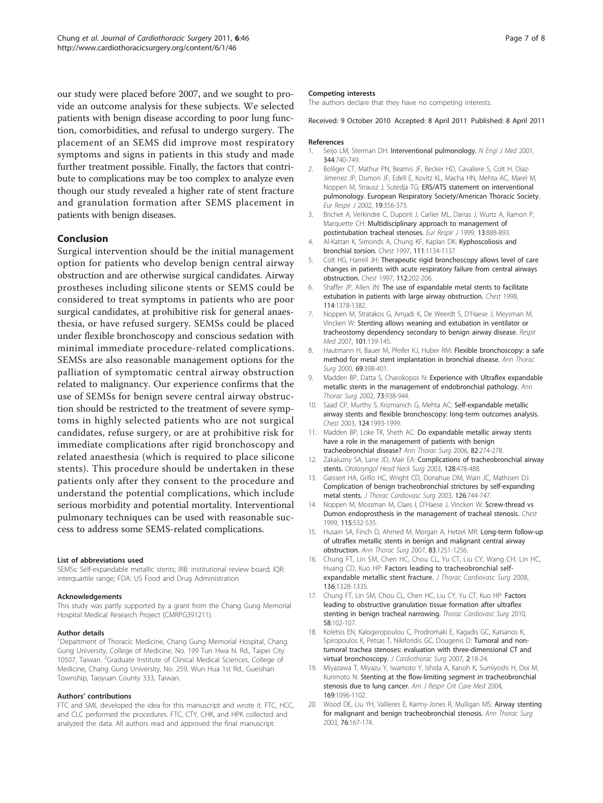<span id="page-6-0"></span>our study were placed before 2007, and we sought to provide an outcome analysis for these subjects. We selected patients with benign disease according to poor lung function, comorbidities, and refusal to undergo surgery. The placement of an SEMS did improve most respiratory symptoms and signs in patients in this study and made further treatment possible. Finally, the factors that contribute to complications may be too complex to analyze even though our study revealed a higher rate of stent fracture and granulation formation after SEMS placement in patients with benign diseases.

# Conclusion

Surgical intervention should be the initial management option for patients who develop benign central airway obstruction and are otherwise surgical candidates. Airway prostheses including silicone stents or SEMS could be considered to treat symptoms in patients who are poor surgical candidates, at prohibitive risk for general anaesthesia, or have refused surgery. SEMSs could be placed under flexible bronchoscopy and conscious sedation with minimal immediate procedure-related complications. SEMSs are also reasonable management options for the palliation of symptomatic central airway obstruction related to malignancy. Our experience confirms that the use of SEMSs for benign severe central airway obstruction should be restricted to the treatment of severe symptoms in highly selected patients who are not surgical candidates, refuse surgery, or are at prohibitive risk for immediate complications after rigid bronchoscopy and related anaesthesia (which is required to place silicone stents). This procedure should be undertaken in these patients only after they consent to the procedure and understand the potential complications, which include serious morbidity and potential mortality. Interventional pulmonary techniques can be used with reasonable success to address some SEMS-related complications.

#### List of abbreviations used

SEMSs: Self-expandable metallic stents; IRB: institutional review board; IQR: interquartile range; FDA: US Food and Drug Administration

#### Acknowledgements

This study was partly supported by a grant from the Chang Gung Memorial Hospital Medical Research Project (CMRPG391211).

#### Author details

<sup>1</sup>Department of Thoracic Medicine, Chang Gung Memorial Hospital, Chang Gung University, College of Medicine, No. 199 Tun Hwa N. Rd., Taipei City 10507, Taiwan. <sup>2</sup>Graduate Institute of Clinical Medical Sciences, College of Medicine, Chang Gung University, No. 259, Wun Hua 1st Rd., Gueishan Township, Taoyuan County 333, Taiwan.

#### Authors' contributions

FTC and SML developed the idea for this manuscript and wrote it. FTC, HCC, and CLC performed the procedures. FTC, CTY, CHK, and HPK collected and analyzed the data. All authors read and approved the final manuscript.

#### Page 7 of 8

#### Competing interests

The authors declare that they have no competing interests.

#### Received: 9 October 2010 Accepted: 8 April 2011 Published: 8 April 2011

#### References

- 1. Seijo LM, Sterman DH: [Interventional pulmonology.](http://www.ncbi.nlm.nih.gov/pubmed/11236779?dopt=Abstract) N Engl J Med 2001, 344:740-749.
- 2. Bolliger CT, Mathur PN, Beamis JF, Becker HD, Cavaliere S, Colt H, Diaz-Jimenez JP, Dumon JF, Edell E, Kovitz KL, Macha HN, Mehta AC, Marel M, Noppen M, Strausz J, Sutedja TG: [ERS/ATS statement on interventional](http://www.ncbi.nlm.nih.gov/pubmed/11866017?dopt=Abstract) [pulmonology. European Respiratory Society/American Thoracic Society.](http://www.ncbi.nlm.nih.gov/pubmed/11866017?dopt=Abstract) Eur Respir J 2002, 19:356-373.
- 3. Brichet A, Verkindre C, Dupont J, Carlier ML, Darras J, Wurtz A, Ramon P, Marquette CH: [Multidisciplinary approach to management of](http://www.ncbi.nlm.nih.gov/pubmed/10362058?dopt=Abstract) [postintubation tracheal stenoses.](http://www.ncbi.nlm.nih.gov/pubmed/10362058?dopt=Abstract) Eur Respir J 1999, 13:888-893.
- 4. Al-Kattan K, Simonds A, Chung KF, Kaplan DK: [Kyphoscoliosis and](http://www.ncbi.nlm.nih.gov/pubmed/9106604?dopt=Abstract) [bronchial torsion.](http://www.ncbi.nlm.nih.gov/pubmed/9106604?dopt=Abstract) Chest 1997, 111:1134-1137.
- 5. Colt HG, Harrell JH: [Therapeutic rigid bronchoscopy allows level of care](http://www.ncbi.nlm.nih.gov/pubmed/9228377?dopt=Abstract) [changes in patients with acute respiratory failure from central airways](http://www.ncbi.nlm.nih.gov/pubmed/9228377?dopt=Abstract) [obstruction.](http://www.ncbi.nlm.nih.gov/pubmed/9228377?dopt=Abstract) Chest 1997, 112:202-206.
- 6. Shaffer JP, Allen JN: [The use of expandable metal stents to facilitate](http://www.ncbi.nlm.nih.gov/pubmed/9824018?dopt=Abstract) [extubation in patients with large airway obstruction.](http://www.ncbi.nlm.nih.gov/pubmed/9824018?dopt=Abstract) Chest 1998, 114:1378-1382.
- 7. Noppen M, Stratakos G, Amjadi K, De Weerdt S, D'Haese J, Meysman M, Vincken W: [Stenting allows weaning and extubation in ventilator or](http://www.ncbi.nlm.nih.gov/pubmed/16709452?dopt=Abstract) [tracheostomy dependency secondary to benign airway disease.](http://www.ncbi.nlm.nih.gov/pubmed/16709452?dopt=Abstract) Respir Med 2007, 101:139-145.
- 8. Hautmann H, Bauer M, Pfeifer KJ, Huber RM: [Flexible bronchoscopy: a safe](http://www.ncbi.nlm.nih.gov/pubmed/10735670?dopt=Abstract) [method for metal stent implantation in bronchial disease.](http://www.ncbi.nlm.nih.gov/pubmed/10735670?dopt=Abstract) Ann Thorac Sura 2000, 69:398-401.
- 9. Madden BP, Datta S, Charokopos N: [Experience with Ultraflex expandable](http://www.ncbi.nlm.nih.gov/pubmed/11899205?dopt=Abstract) [metallic stents in the management of endobronchial pathology.](http://www.ncbi.nlm.nih.gov/pubmed/11899205?dopt=Abstract) Ann Thorac Surg 2002, 73:938-944.
- 10. Saad CP, Murthy S, Krizmanich G, Mehta AC: [Self-expandable metallic](http://www.ncbi.nlm.nih.gov/pubmed/14605078?dopt=Abstract) [airway stents and flexible bronchoscopy: long-term outcomes analysis.](http://www.ncbi.nlm.nih.gov/pubmed/14605078?dopt=Abstract) Chest 2003, 124:1993-1999.
- 11. Madden BP, Loke TK, Sheth AC: [Do expandable metallic airway stents](http://www.ncbi.nlm.nih.gov/pubmed/16798229?dopt=Abstract) [have a role in the management of patients with benign](http://www.ncbi.nlm.nih.gov/pubmed/16798229?dopt=Abstract) [tracheobronchial disease?](http://www.ncbi.nlm.nih.gov/pubmed/16798229?dopt=Abstract) Ann Thorac Surg 2006, 82:274-278.
- 12. Zakaluzny SA, Lane JD, Mair EA: [Complications of tracheobronchial airway](http://www.ncbi.nlm.nih.gov/pubmed/12707649?dopt=Abstract) [stents.](http://www.ncbi.nlm.nih.gov/pubmed/12707649?dopt=Abstract) Otolaryngol Head Neck Surg 2003, 128:478-488.
- 13. Gaissert HA, Grillo HC, Wright CD, Donahue DM, Wain JC, Mathisen DJ: [Complication of benign tracheobronchial strictures by self-expanding](http://www.ncbi.nlm.nih.gov/pubmed/14502148?dopt=Abstract) [metal stents.](http://www.ncbi.nlm.nih.gov/pubmed/14502148?dopt=Abstract) J Thorac Cardiovasc Surg 2003, 126:744-747.
- 14. Noppen M, Mossman M, Claes I, D'Haese J, Vincken W: [Screw-thread vs](http://www.ncbi.nlm.nih.gov/pubmed/10027456?dopt=Abstract) [Dumon endoprosthesis in the management of tracheal stenosis.](http://www.ncbi.nlm.nih.gov/pubmed/10027456?dopt=Abstract) Chest 1999, 115:532-535.
- 15. Husain SA, Finch D, Ahmed M, Morgan A, Hetzel MR: [Long-term follow-up](http://www.ncbi.nlm.nih.gov/pubmed/17383321?dopt=Abstract) [of ultraflex metallic stents in benign and malignant central airway](http://www.ncbi.nlm.nih.gov/pubmed/17383321?dopt=Abstract) [obstruction.](http://www.ncbi.nlm.nih.gov/pubmed/17383321?dopt=Abstract) Ann Thorac Surg 2007, 83:1251-1256.
- 16. Chung FT, Lin SM, Chen HC, Chou CL, Yu CT, Liu CY, Wang CH, Lin HC, Huang CD, Kuo HP: [Factors leading to tracheobronchial self](http://www.ncbi.nlm.nih.gov/pubmed/19026824?dopt=Abstract)[expandable metallic stent fracture.](http://www.ncbi.nlm.nih.gov/pubmed/19026824?dopt=Abstract) J Thorac Cardiovasc Surg 2008, 136:1328-1335.
- 17. Chung FT, Lin SM, Chou CL, Chen HC, Liu CY, Yu CT, Kuo HP: [Factors](http://www.ncbi.nlm.nih.gov/pubmed/20333573?dopt=Abstract) [leading to obstructive granulation tissue formation after ultraflex](http://www.ncbi.nlm.nih.gov/pubmed/20333573?dopt=Abstract) [stenting in benign tracheal narrowing.](http://www.ncbi.nlm.nih.gov/pubmed/20333573?dopt=Abstract) Thorac Cardiovasc Surg 2010, 58:102-107.
- 18. Koletsis EN, Kalogeropoulou C, Prodromaki E, Kagadis GC, Katsanos K, Spiropoulos K, Petsas T, Nikiforidis GC, Dougenis D: [Tumoral and non](http://www.ncbi.nlm.nih.gov/pubmed/17430592?dopt=Abstract)[tumoral trachea stenoses: evaluation with three-dimensional CT and](http://www.ncbi.nlm.nih.gov/pubmed/17430592?dopt=Abstract) [virtual bronchoscopy.](http://www.ncbi.nlm.nih.gov/pubmed/17430592?dopt=Abstract) J Cardiothorac Surg 2007, 2:18-24.
- 19. Miyazawa T, Miyazu Y, Iwamoto Y, Ishida A, Kanoh K, Sumiyoshi H, Doi M, Kurimoto N: [Stenting at the flow-limiting segment in tracheobronchial](http://www.ncbi.nlm.nih.gov/pubmed/15132959?dopt=Abstract) [stenosis due to lung cancer.](http://www.ncbi.nlm.nih.gov/pubmed/15132959?dopt=Abstract) Am J Respir Crit Care Med 2004, 169:1096-1102.
- 20. Wood DE, Liu YH, Vallieres E, Karmy-Jones R, Mulligan MS: [Airway stenting](http://www.ncbi.nlm.nih.gov/pubmed/12842534?dopt=Abstract) [for malignant and benign tracheobronchial stenosis.](http://www.ncbi.nlm.nih.gov/pubmed/12842534?dopt=Abstract) Ann Thorac Surg 2003, 76:167-174.